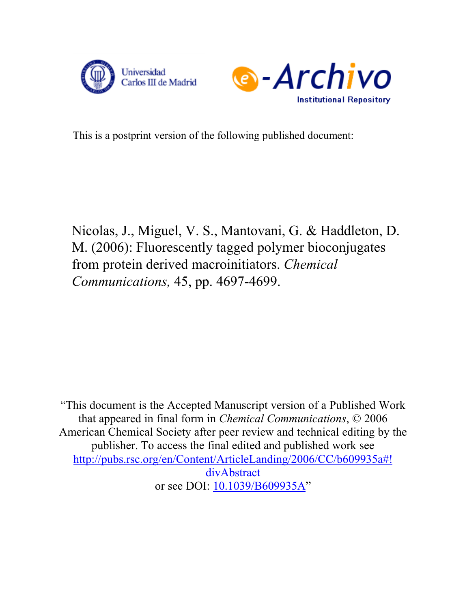



This is a postprint version of the following published document:

Nicolas, J., Miguel, V. S., Mantovani, G. & Haddleton, D. M. (2006): Fluorescently tagged polymer bioconjugates from protein derived macroinitiators. *Chemical Communications,* 45, pp. 4697-4699.

"This document is the Accepted Manuscript version of a Published Work that appeared in final form in *Chemical Communications*, © 2006 American Chemical Society after peer review and technical editing by the publisher. To access the final edited and published work see [http://pubs.rsc.org/en/Content/ArticleLanding/2006/CC/b609935a#!](http://pubs.rsc.org/en/Content/ArticleLanding/2006/CC/b609935a#!divAbstract) divAbstract or see DOI:  $\underline{10.1039/B609935A}$  $\underline{10.1039/B609935A}$  $\underline{10.1039/B609935A}$ "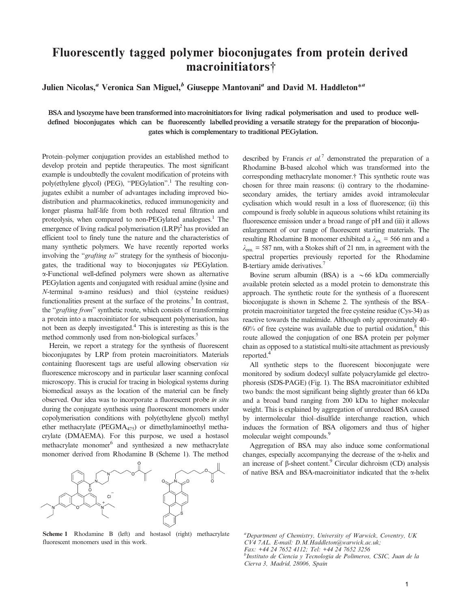## Fluorescently tagged polymer bioconjugates from protein derived macroinitiators{

Julien Nicolas,<sup>a</sup> Veronica San Miguel,<sup>b</sup> Giuseppe Mantovani<sup>a</sup> and David M. Haddleton<sup>\*a</sup>

BSA and lysozyme have been transformed into macroinitiators for living radical polymerisation and used to produce welldefined bioconjugates which can be fluorescently labelled providing a versatile strategy for the preparation of bioconjugates which is complementary to traditional PEGylation.

Protein–polymer conjugation provides an established method to develop protein and peptide therapeutics. The most significant example is undoubtedly the covalent modification of proteins with poly(ethylene glycol) (PEG), ''PEGylation''.1 The resulting conjugates exhibit a number of advantages including improved biodistribution and pharmacokinetics, reduced immunogenicity and longer plasma half-life from both reduced renal filtration and proteolysis, when compared to non-PEGylated analogues.<sup>1</sup> The emergence of living radical polymerisation  $(LRP)^2$  has provided an efficient tool to finely tune the nature and the characteristics of many synthetic polymers. We have recently reported works involving the "*grafting to*" strategy for the synthesis of bioconjugates, the traditional way to bioconjugates via PEGylation. a-Functional well-defined polymers were shown as alternative PEGylation agents and conjugated with residual amine (lysine and  $N$ -terminal  $\alpha$ -amino residues) and thiol (cysteine residues) functionalities present at the surface of the proteins.<sup>3</sup> In contrast, the ''grafting from'' synthetic route, which consists of transforming a protein into a macroinitiator for subsequent polymerisation, has not been as deeply investigated.4 This is interesting as this is the method commonly used from non-biological surfaces.<sup>5</sup>

Herein, we report a strategy for the synthesis of fluorescent bioconjugates by LRP from protein macroinitiators. Materials containing fluorescent tags are useful allowing observation via fluorescence microscopy and in particular laser scanning confocal microscopy. This is crucial for tracing in biological systems during biomedical assays as the location of the material can be finely observed. Our idea was to incorporate a fluorescent probe in situ during the conjugate synthesis using fluorescent monomers under copolymerisation conditions with poly(ethylene glycol) methyl ether methacrylate (PEGMA475) or dimethylaminoethyl methacrylate (DMAEMA). For this purpose, we used a hostasol methacrylate monomer<sup>6</sup> and synthesized a new methacrylate monomer derived from Rhodamine B (Scheme 1). The method



Scheme 1 Rhodamine B (left) and hostasol (right) methacrylate fluorescent monomers used in this work.

described by Francis *et al.*<sup>7</sup> demonstrated the preparation of a Rhodamine B-based alcohol which was transformed into the corresponding methacrylate monomer.{ This synthetic route was chosen for three main reasons: (i) contrary to the rhodaminesecondary amides, the tertiary amides avoid intramolecular cyclisation which would result in a loss of fluorescence; (ii) this compound is freely soluble in aqueous solutions whilst retaining its fluorescence emission under a broad range of pH and (iii) it allows enlargement of our range of fluorescent starting materials. The resulting Rhodamine B monomer exhibited a  $\lambda_{\text{ex}} = 566$  nm and a  $\lambda_{\rm em}$  = 587 nm, with a Stokes shift of 21 nm, in agreement with the spectral properties previously reported for the Rhodamine B-tertiary amide derivatives.<sup>7</sup>

Bovine serum albumin (BSA) is a  $\sim 66$  kDa commercially available protein selected as a model protein to demonstrate this approach. The synthetic route for the synthesis of a fluorescent bioconjugate is shown in Scheme 2. The synthesis of the BSA– protein macroinitiator targeted the free cysteine residue (Cys-34) as reactive towards the maleimide. Although only approximately 40–  $60\%$  of free cysteine was available due to partial oxidation,  $8$  this route allowed the conjugation of one BSA protein per polymer chain as opposed to a statistical multi-site attachment as previously reported.<sup>4</sup>

All synthetic steps to the fluorescent bioconjugate were monitored by sodium dodecyl sulfate polyacrylamide gel electrophoresis (SDS-PAGE) (Fig. 1). The BSA macroinitiator exhibited two bands: the most significant being slightly greater than 66 kDa and a broad band ranging from 200 kDa to higher molecular weight. This is explained by aggregation of unreduced BSA caused by intermolecular thiol–disulfide interchange reaction, which induces the formation of BSA oligomers and thus of higher molecular weight compounds.<sup>9</sup>

Aggregation of BSA may also induce some conformational changes, especially accompanying the decrease of the  $\alpha$ -helix and an increase of  $\beta$ -sheet content.<sup>9</sup> Circular dichroism (CD) analysis of native BSA and BSA-macroinitiator indicated that the  $\alpha$ -helix

<sup>a</sup>Department of Chemistry, University of Warwick, Coventry, UK CV4 7AL. E-mail: D.M.Haddleton@warwick.ac.uk; Fax: +44 24 7652 4112; Tel: +44 24 7652 3256 <sup>b</sup>Instituto de Ciencia y Tecnologia de Polimeros, CSIC, Juan de la Cierva 3, Madrid, 28006, Spain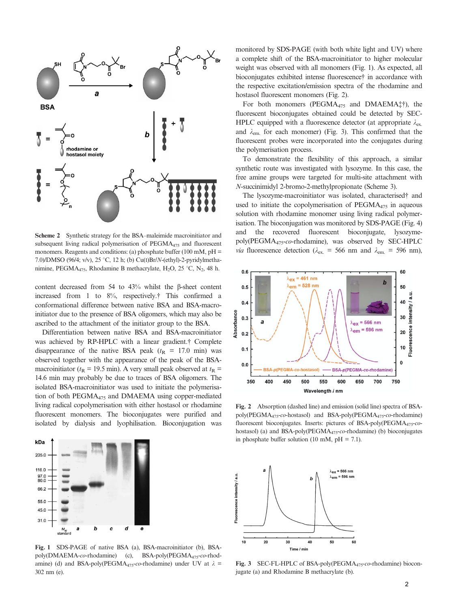

Scheme 2 Synthetic strategy for the BSA–maleimide macroinitiator and subsequent living radical polymerisation of  $PEGMA<sub>475</sub>$  and fluorescent monomers. Reagents and conditions: (a) phosphate buffer (100 mM,  $pH =$ 7.0)/DMSO (96/4; v/v), 25 °C, 12 h; (b) Cu(I)Br/N-(ethyl)-2-pyridylmethanimine, PEGMA<sub>475</sub>, Rhodamine B methacrylate, H<sub>2</sub>O, 25 °C, N<sub>2</sub>, 48 h.

content decreased from 54 to  $43\%$  whilst the  $\beta$ -sheet content increased from 1 to  $8\%$ , respectively.<sup>†</sup> This confirmed a conformational difference between native BSA and BSA-macroinitiator due to the presence of BSA oligomers, which may also be ascribed to the attachment of the initiator group to the BSA.

Differentiation between native BSA and BSA-macroinitiator was achieved by RP-HPLC with a linear gradient.<sup>†</sup> Complete disappearance of the native BSA peak ( $t_R$  = 17.0 min) was observed together with the appearance of the peak of the BSAmacroinitiator ( $t_R$  = 19.5 min). A very small peak observed at  $t_R$  = 14.6 min may probably be due to traces of BSA oligomers. The isolated BSA-macroinitiator was used to initiate the polymerisation of both PEGMA475 and DMAEMA using copper-mediated living radical copolymerisation with either hostasol or rhodamine fluorescent monomers. The bioconjugates were purified and isolated by dialysis and lyophilisation. Bioconjugation was



Fig. 1 SDS-PAGE of native BSA (a), BSA-macroinitiator (b), BSApoly(DMAEMA-co-rhodamine) (c), BSA-poly(PEGMA<sub>475</sub>-co-rhodamine) (d) and BSA-poly(PEGMA<sub>475</sub>-co-rhodamine) under UV at  $\lambda$  = 302 nm (e).

monitored by SDS-PAGE (with both white light and UV) where a complete shift of the BSA-macroinitiator to higher molecular weight was observed with all monomers (Fig. 1). As expected, all bioconjugates exhibited intense fluorescence† in accordance with the respective excitation/emission spectra of the rhodamine and hostasol fluorescent monomers (Fig. 2).

For both monomers (PEGMA<sub>475</sub> and DMAEMA ${}_{+}^{\dagger}$ ), the fluorescent bioconjugates obtained could be detected by SEC-HPLC equipped with a fluorescence detector (at appropriate  $\lambda_{\text{ex}}$ and  $\lambda_{\text{em}}$  for each monomer) (Fig. 3). This confirmed that the fluorescent probes were incorporated into the conjugates during the polymerisation process.

To demonstrate the flexibility of this approach, a similar synthetic route was investigated with lysozyme. In this case, the free amine groups were targeted for multi-site attachment with N-succinimidyl 2-bromo-2-methylpropionate (Scheme 3).

The lysozyme-macroinitiator was isolated, characterised<sup>†</sup> and used to initiate the copolymerisation of  $PEGMA<sub>475</sub>$  in aqueous solution with rhodamine monomer using living radical polymerisation. The bioconjugation was monitored by SDS-PAGE (Fig. 4) and the recovered fluorescent bioconjugate, lysozymepoly(PEGMA475-co-rhodamine), was observed by SEC-HPLC *via* fluorescence detection ( $\lambda_{\text{ex}}$  = 566 nm and  $\lambda_{\text{em}}$  = 596 nm),



Fig. 2 Absorption (dashed line) and emission (solid line) spectra of BSApoly(PEGMA475-co-hostasol) and BSA-poly(PEGMA475-co-rhodamine) fluorescent bioconjugates. Inserts: pictures of BSA-poly(PEGMA<sub>475</sub>-cohostasol) (a) and BSA-poly(PEGMA<sub>475</sub>-co-rhodamine) (b) bioconjugates in phosphate buffer solution (10 mM,  $pH = 7.1$ ).



Fig. 3 SEC-FL-HPLC of BSA-poly(PEGMA<sub>475</sub>-co-rhodamine) bioconjugate (a) and Rhodamine B methacrylate (b).